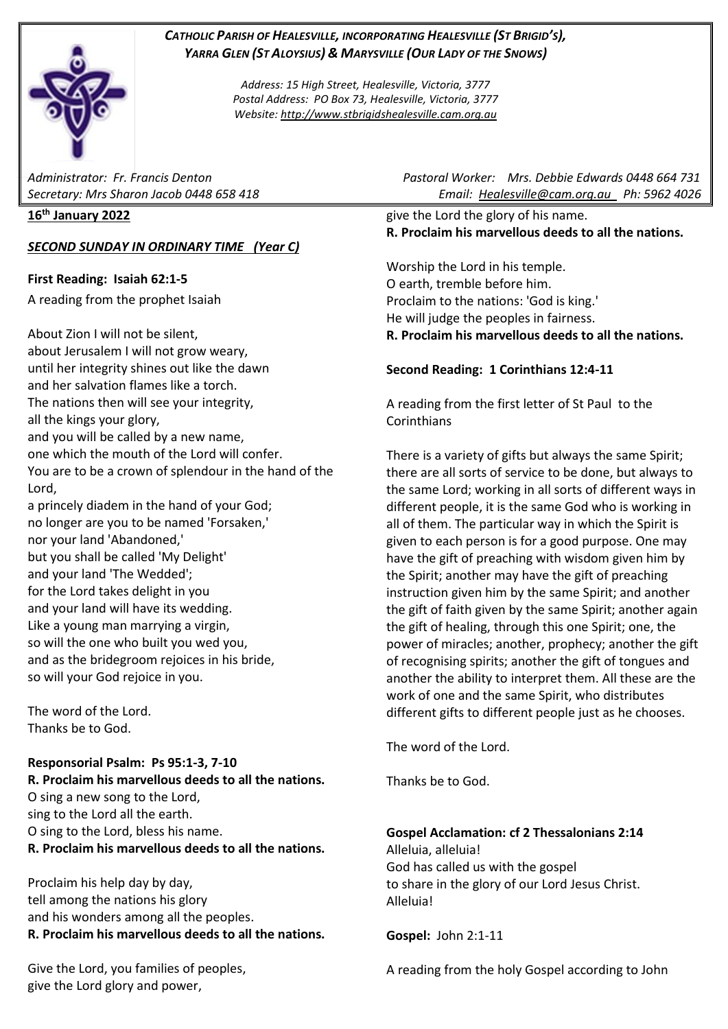# *CATHOLIC PARISH OF HEALESVILLE, INCORPORATING HEALESVILLE (ST BRIGID'S), YARRA GLEN (ST ALOYSIUS) & MARYSVILLE (OUR LADY OF THE SNOWS)*

*Address: 15 High Street, Healesville, Victoria, 3777 Postal Address: PO Box 73, Healesville, Victoria, 3777 Website: [http://www.stbrigidshealesville.cam.org.au](http://www.stbrigidshealesville.cam.org.au/)*

#### **16th January 2022**

### *SECOND SUNDAY IN ORDINARY TIME (Year C)*

### **First Reading: Isaiah 62:1-5**

A reading from the prophet Isaiah

About Zion I will not be silent, about Jerusalem I will not grow weary, until her integrity shines out like the dawn and her salvation flames like a torch. The nations then will see your integrity, all the kings your glory, and you will be called by a new name, one which the mouth of the Lord will confer. You are to be a crown of splendour in the hand of the Lord, a princely diadem in the hand of your God;

no longer are you to be named 'Forsaken,' nor your land 'Abandoned,' but you shall be called 'My Delight' and your land 'The Wedded'; for the Lord takes delight in you and your land will have its wedding. Like a young man marrying a virgin, so will the one who built you wed you, and as the bridegroom rejoices in his bride, so will your God rejoice in you.

The word of the Lord. Thanks be to God.

### **Responsorial Psalm: Ps 95:1-3, 7-10**

**R. Proclaim his marvellous deeds to all the nations.** O sing a new song to the Lord, sing to the Lord all the earth. O sing to the Lord, bless his name. **R. Proclaim his marvellous deeds to all the nations.**

Proclaim his help day by day, tell among the nations his glory and his wonders among all the peoples. **R. Proclaim his marvellous deeds to all the nations.**

Give the Lord, you families of peoples, give the Lord glory and power,

*Administrator: Fr. Francis Denton Pastoral Worker: Mrs. Debbie Edwards 0448 664 731 Secretary: Mrs Sharon Jacob 0448 658 418 Email: [Healesville@cam.org.au](mailto:Healesville@cam.org.au) Ph: 5962 4026* 

> give the Lord the glory of his name. **R. Proclaim his marvellous deeds to all the nations.**

> Worship the Lord in his temple. O earth, tremble before him. Proclaim to the nations: 'God is king.' He will judge the peoples in fairness. **R. Proclaim his marvellous deeds to all the nations.**

### **Second Reading: 1 Corinthians 12:4-11**

A reading from the first letter of St Paul to the Corinthians

There is a variety of gifts but always the same Spirit; there are all sorts of service to be done, but always to the same Lord; working in all sorts of different ways in different people, it is the same God who is working in all of them. The particular way in which the Spirit is given to each person is for a good purpose. One may have the gift of preaching with wisdom given him by the Spirit; another may have the gift of preaching instruction given him by the same Spirit; and another the gift of faith given by the same Spirit; another again the gift of healing, through this one Spirit; one, the power of miracles; another, prophecy; another the gift of recognising spirits; another the gift of tongues and another the ability to interpret them. All these are the work of one and the same Spirit, who distributes different gifts to different people just as he chooses.

The word of the Lord.

Thanks be to God.

### **Gospel Acclamation: cf 2 Thessalonians 2:14**

Alleluia, alleluia! God has called us with the gospel to share in the glory of our Lord Jesus Christ. Alleluia!

**Gospel:** John 2:1-11

A reading from the holy Gospel according to John